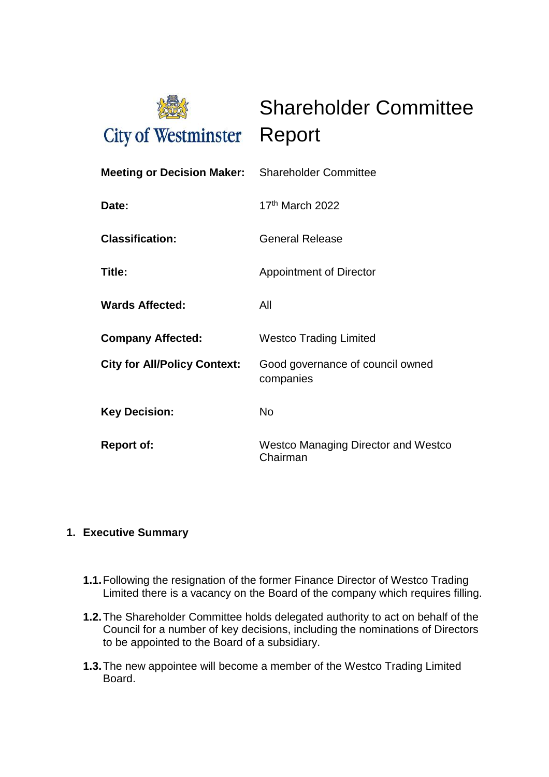

Shareholder Committee

| <b>Meeting or Decision Maker:</b> Shareholder Committee |                                                        |
|---------------------------------------------------------|--------------------------------------------------------|
| Date:                                                   | $17th$ March 2022                                      |
| <b>Classification:</b>                                  | <b>General Release</b>                                 |
| Title:                                                  | <b>Appointment of Director</b>                         |
| <b>Wards Affected:</b>                                  | All                                                    |
| <b>Company Affected:</b>                                | <b>Westco Trading Limited</b>                          |
| <b>City for All/Policy Context:</b>                     | Good governance of council owned<br>companies          |
| <b>Key Decision:</b>                                    | <b>No</b>                                              |
| <b>Report of:</b>                                       | <b>Westco Managing Director and Westco</b><br>Chairman |

## **1. Executive Summary**

- **1.1.**Following the resignation of the former Finance Director of Westco Trading Limited there is a vacancy on the Board of the company which requires filling.
- **1.2.**The Shareholder Committee holds delegated authority to act on behalf of the Council for a number of key decisions, including the nominations of Directors to be appointed to the Board of a subsidiary.
- **1.3.**The new appointee will become a member of the Westco Trading Limited Board.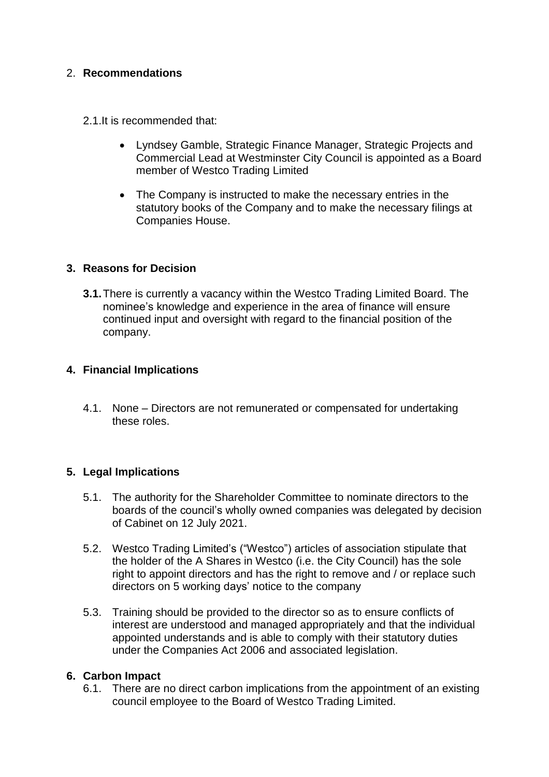### 2. **Recommendations**

2.1.It is recommended that:

- Lyndsey Gamble, Strategic Finance Manager, Strategic Projects and Commercial Lead at Westminster City Council is appointed as a Board member of Westco Trading Limited
- The Company is instructed to make the necessary entries in the statutory books of the Company and to make the necessary filings at Companies House.

#### **3. Reasons for Decision**

**3.1.**There is currently a vacancy within the Westco Trading Limited Board. The nominee's knowledge and experience in the area of finance will ensure continued input and oversight with regard to the financial position of the company.

#### **4. Financial Implications**

4.1. None – Directors are not remunerated or compensated for undertaking these roles.

#### **5. Legal Implications**

- 5.1. The authority for the Shareholder Committee to nominate directors to the boards of the council's wholly owned companies was delegated by decision of Cabinet on 12 July 2021.
- 5.2. Westco Trading Limited's ("Westco") articles of association stipulate that the holder of the A Shares in Westco (i.e. the City Council) has the sole right to appoint directors and has the right to remove and / or replace such directors on 5 working days' notice to the company
- 5.3. Training should be provided to the director so as to ensure conflicts of interest are understood and managed appropriately and that the individual appointed understands and is able to comply with their statutory duties under the Companies Act 2006 and associated legislation.

#### **6. Carbon Impact**

6.1. There are no direct carbon implications from the appointment of an existing council employee to the Board of Westco Trading Limited.